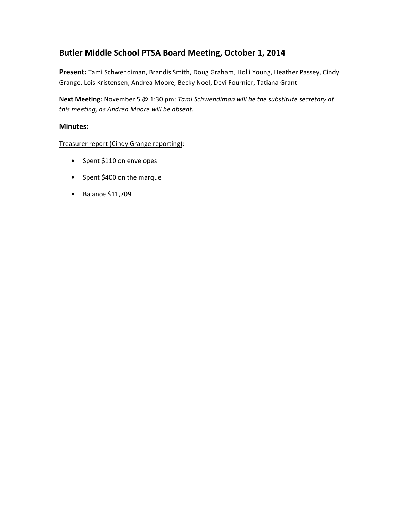# Butler Middle School PTSA Board Meeting, October 1, 2014

Present: Tami Schwendiman, Brandis Smith, Doug Graham, Holli Young, Heather Passey, Cindy Grange, Lois Kristensen, Andrea Moore, Becky Noel, Devi Fournier, Tatiana Grant

Next Meeting: November 5 @ 1:30 pm; *Tami Schwendiman will be the substitute secretary at* this meeting, as Andrea Moore will be absent.

# **Minutes:**

Treasurer report (Cindy Grange reporting):

- Spent \$110 on envelopes
- Spent \$400 on the marque
- Balance \$11,709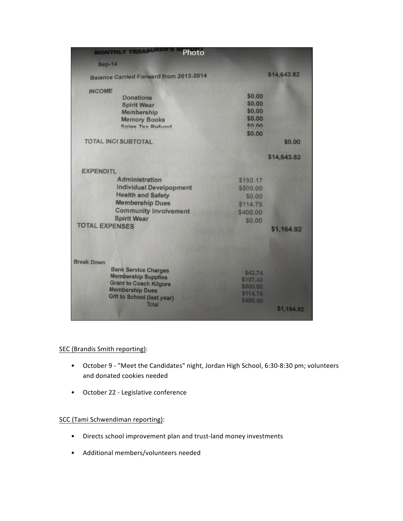| <b>MONTHLY TREASURE</b><br>Photo       |                 |             |
|----------------------------------------|-----------------|-------------|
| <b>Sep-14</b>                          |                 |             |
| Balance Carried Forward from 2013-2014 |                 | \$14,643.82 |
| <b>INCOME</b>                          |                 |             |
| <b>Donations</b>                       | \$0.00          |             |
| <b>Spirit Wear</b>                     | \$0.00          |             |
| Membership                             | \$0.00          |             |
| <b>Memory Books</b>                    | \$0.00          |             |
| <b>Salee Tay Refund</b>                | $\epsilon$ n nn |             |
|                                        | \$0.00          |             |
| <b>TOTAL INC(SUBTOTAL</b>              |                 | \$0.00      |
|                                        |                 | \$14,643.82 |
| <b>EXPENDITL</b>                       |                 |             |
| Administration                         | \$150.17        |             |
| <b>Individual Develpopment</b>         | \$500.00        |             |
| <b>Health and Safety</b>               | \$0.00          |             |
| <b>Membership Dues</b>                 | \$114.75        |             |
| <b>Community Involvement</b>           |                 |             |
| <b>Spirit Wear</b>                     | \$400.00        |             |
| <b>TOTAL EXPENSES</b>                  | \$0.00          |             |
|                                        |                 | \$1,164.92  |
| <b>Break Down</b>                      |                 |             |
| <b>Bank Service Charges</b>            | \$42.74         |             |
| <b>Membership Supplies</b>             | \$107.43        |             |
| <b>Grant to Coach Kilgore</b>          | \$500.00        |             |
| <b>Membership Dues</b>                 | \$114,75        |             |
| Gift to School (last year)             | \$400.00        |             |
| Total                                  |                 | \$1,164.92  |
|                                        |                 |             |

## SEC (Brandis Smith reporting):

- October 9 "Meet the Candidates" night, Jordan High School, 6:30-8:30 pm; volunteers and donated cookies needed
- October 22 Legislative conference

# SCC (Tami Schwendiman reporting):

- Directs school improvement plan and trust-land money investments
- Additional members/volunteers needed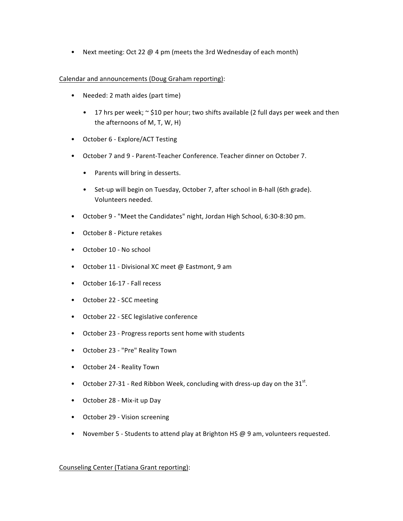• Next meeting: Oct 22  $\omega$  4 pm (meets the 3rd Wednesday of each month)

#### Calendar and announcements (Doug Graham reporting):

- Needed: 2 math aides (part time)
	- 17 hrs per week;  $\sim$  \$10 per hour; two shifts available (2 full days per week and then the afternoons of M, T, W, H)
- October 6 Explore/ACT Testing
- October 7 and 9 Parent-Teacher Conference. Teacher dinner on October 7.
	- Parents will bring in desserts.
	- Set-up will begin on Tuesday, October 7, after school in B-hall (6th grade). Volunteers needed.
- October 9 "Meet the Candidates" night, Jordan High School, 6:30-8:30 pm.
- October 8 Picture retakes
- October 10 No school
- October 11 Divisional XC meet @ Eastmont, 9 am
- October 16-17 Fall recess
- October 22 SCC meeting
- October 22 SEC legislative conference
- October 23 Progress reports sent home with students
- October 23 "Pre" Reality Town
- October 24 Reality Town
- October 27-31 Red Ribbon Week, concluding with dress-up day on the  $31^{st}$ .
- October 28 Mix-it up Day
- October 29 Vision screening
- November 5 Students to attend play at Brighton HS  $@9$  am, volunteers requested.

## Counseling Center (Tatiana Grant reporting):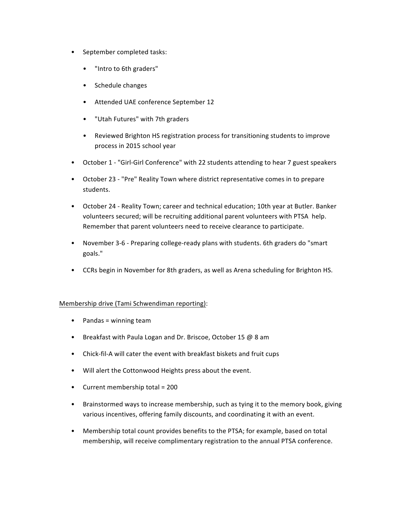- September completed tasks:
	- "Intro to 6th graders"
	- Schedule changes
	- Attended UAE conference September 12
	- "Utah Futures" with 7th graders
	- Reviewed Brighton HS registration process for transitioning students to improve process in 2015 school year
- October 1 "Girl-Girl Conference" with 22 students attending to hear 7 guest speakers
- October 23 "Pre" Reality Town where district representative comes in to prepare students.
- October 24 Reality Town; career and technical education; 10th year at Butler. Banker volunteers secured; will be recruiting additional parent volunteers with PTSA help. Remember that parent volunteers need to receive clearance to participate.
- November 3-6 Preparing college-ready plans with students. 6th graders do "smart goals."
- CCRs begin in November for 8th graders, as well as Arena scheduling for Brighton HS.

## Membership drive (Tami Schwendiman reporting):

- Pandas = winning team
- Breakfast with Paula Logan and Dr. Briscoe, October 15 @ 8 am
- Chick-fil-A will cater the event with breakfast biskets and fruit cups
- Will alert the Cottonwood Heights press about the event.
- Current membership total =  $200$
- Brainstormed ways to increase membership, such as tying it to the memory book, giving various incentives, offering family discounts, and coordinating it with an event.
- Membership total count provides benefits to the PTSA; for example, based on total membership, will receive complimentary registration to the annual PTSA conference.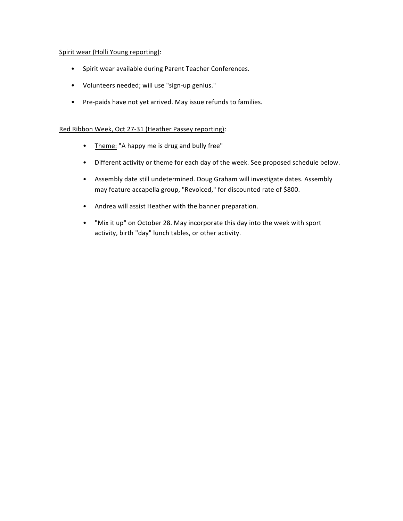## Spirit wear (Holli Young reporting):

- Spirit wear available during Parent Teacher Conferences.
- Volunteers needed; will use "sign-up genius."
- Pre-paids have not yet arrived. May issue refunds to families.

## Red Ribbon Week, Oct 27-31 (Heather Passey reporting):

- Theme: "A happy me is drug and bully free"
- Different activity or theme for each day of the week. See proposed schedule below.
- Assembly date still undetermined. Doug Graham will investigate dates. Assembly may feature accapella group, "Revoiced," for discounted rate of \$800.
- Andrea will assist Heather with the banner preparation.
- "Mix it up" on October 28. May incorporate this day into the week with sport activity, birth "day" lunch tables, or other activity.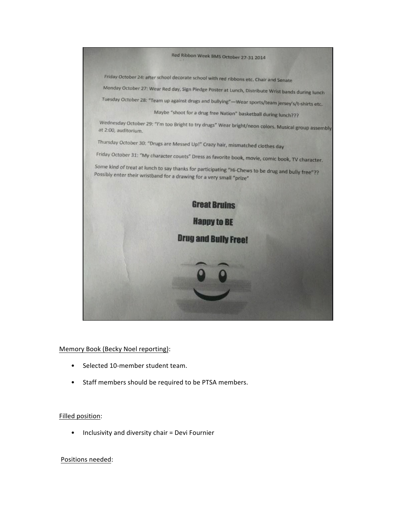

## Memory Book (Becky Noel reporting):

- Selected 10-member student team.
- Staff members should be required to be PTSA members.

#### Filled position:

• Inclusivity and diversity chair = Devi Fournier

#### Positions needed: